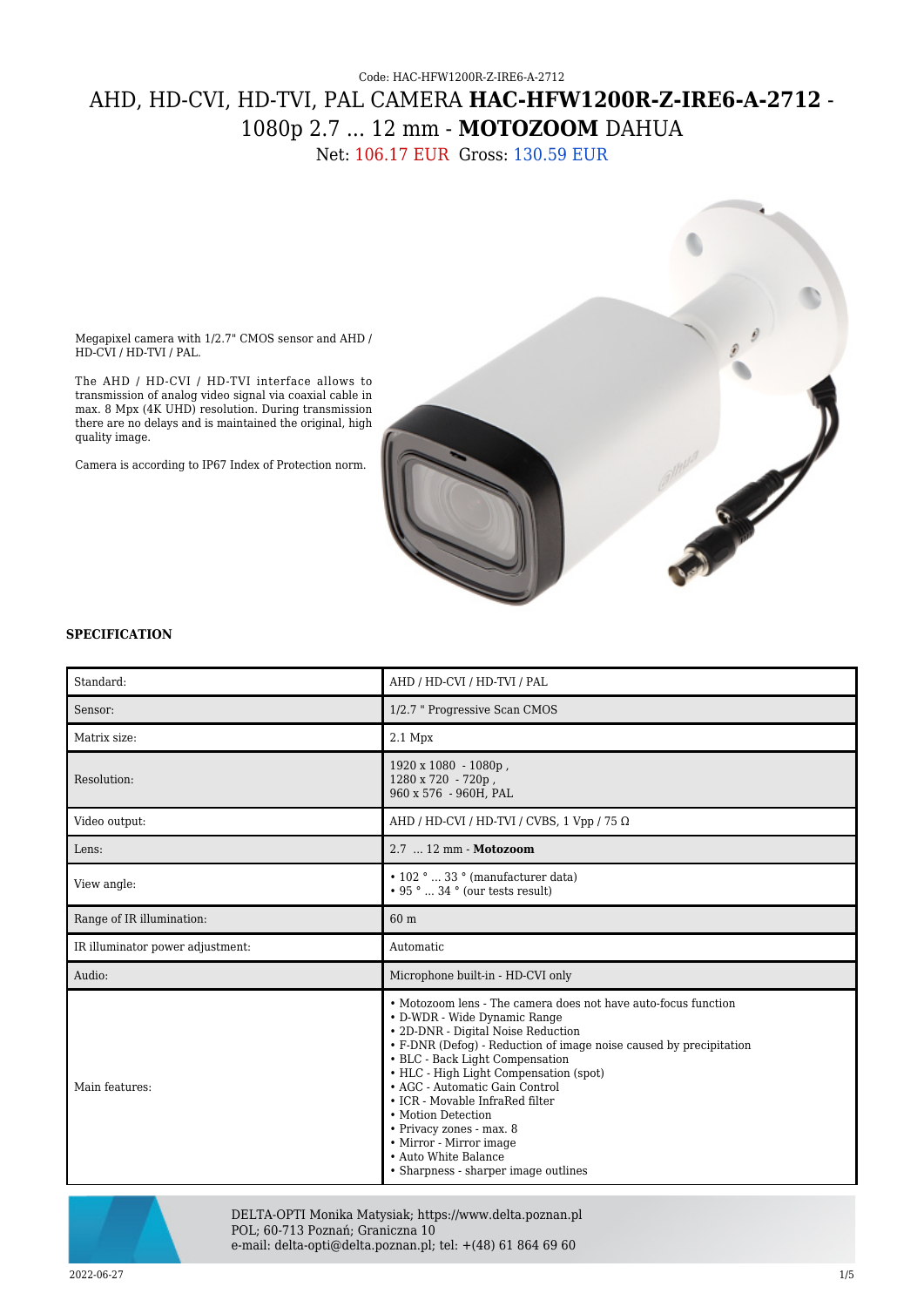## Code: HAC-HFW1200R-Z-IRE6-A-2712 AHD, HD-CVI, HD-TVI, PAL CAMERA **HAC-HFW1200R-Z-IRE6-A-2712** - 1080p 2.7 ... 12 mm - **MOTOZOOM** DAHUA

Net: 106.17 EUR Gross: 130.59 EUR



Megapixel camera with 1/2.7" CMOS sensor and AHD / HD-CVI / HD-TVI / PAL.

The AHD / HD-CVI / HD-TVI interface allows to transmission of analog video signal via coaxial cable in max. 8 Mpx (4K UHD) resolution. During transmission there are no delays and is maintained the original, high quality image.

Camera is according to IP67 Index of Protection norm.

## **SPECIFICATION**

| Standard:                        | AHD / HD-CVI / HD-TVI / PAL                                                                                                                                                                                                                                                                                                                                                                                                                                                                               |
|----------------------------------|-----------------------------------------------------------------------------------------------------------------------------------------------------------------------------------------------------------------------------------------------------------------------------------------------------------------------------------------------------------------------------------------------------------------------------------------------------------------------------------------------------------|
| Sensor:                          | 1/2.7 " Progressive Scan CMOS                                                                                                                                                                                                                                                                                                                                                                                                                                                                             |
| Matrix size:                     | $2.1$ Mpx                                                                                                                                                                                                                                                                                                                                                                                                                                                                                                 |
| Resolution:                      | $1920 \times 1080 - 1080p$ ,<br>1280 x 720 - 720p,<br>960 x 576 - 960H, PAL                                                                                                                                                                                                                                                                                                                                                                                                                               |
| Video output:                    | AHD / HD-CVI / HD-TVI / CVBS, 1 Vpp / 75 $\Omega$                                                                                                                                                                                                                                                                                                                                                                                                                                                         |
| Lens:                            | 2.7  12 mm - Motozoom                                                                                                                                                                                                                                                                                                                                                                                                                                                                                     |
| View angle:                      | $\cdot$ 102 °  33 ° (manufacturer data)<br>$\cdot$ 95 °  34 ° (our tests result)                                                                                                                                                                                                                                                                                                                                                                                                                          |
| Range of IR illumination:        | 60 m                                                                                                                                                                                                                                                                                                                                                                                                                                                                                                      |
| IR illuminator power adjustment: | Automatic                                                                                                                                                                                                                                                                                                                                                                                                                                                                                                 |
| Audio:                           | Microphone built-in - HD-CVI only                                                                                                                                                                                                                                                                                                                                                                                                                                                                         |
| Main features:                   | • Motozoom lens - The camera does not have auto-focus function<br>• D-WDR - Wide Dynamic Range<br>• 2D-DNR - Digital Noise Reduction<br>• F-DNR (Defog) - Reduction of image noise caused by precipitation<br>• BLC - Back Light Compensation<br>• HLC - High Light Compensation (spot)<br>• AGC - Automatic Gain Control<br>• ICR - Movable InfraRed filter<br>• Motion Detection<br>• Privacy zones - max. 8<br>• Mirror - Mirror image<br>• Auto White Balance<br>• Sharpness - sharper image outlines |



DELTA-OPTI Monika Matysiak; https://www.delta.poznan.pl POL; 60-713 Poznań; Graniczna 10 e-mail: delta-opti@delta.poznan.pl; tel: +(48) 61 864 69 60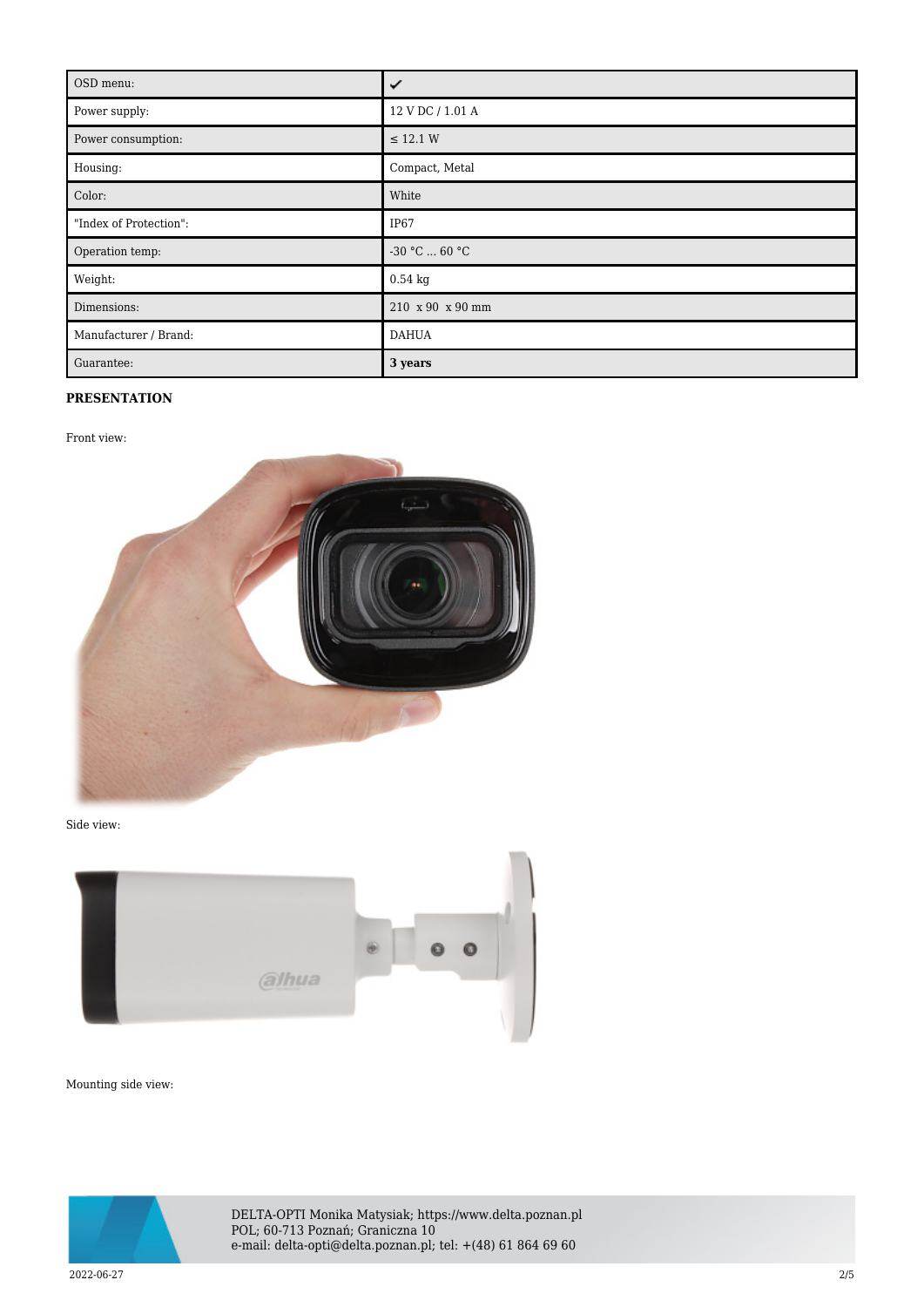| OSD menu:              | ✓                 |
|------------------------|-------------------|
| Power supply:          | 12 V DC / 1.01 A  |
| Power consumption:     | $\leq$ 12.1 W     |
| Housing:               | Compact, Metal    |
| Color:                 | White             |
| "Index of Protection": | IP67              |
| Operation temp:        | $-30$ °C $$ 60 °C |
| Weight:                | $0.54$ kg         |
| Dimensions:            | 210 x 90 x 90 mm  |
| Manufacturer / Brand:  | <b>DAHUA</b>      |
| Guarantee:             | 3 years           |

## **PRESENTATION**

Front view:



Side view:



Mounting side view:



DELTA-OPTI Monika Matysiak; https://www.delta.poznan.pl POL; 60-713 Poznań; Graniczna 10 e-mail: delta-opti@delta.poznan.pl; tel: +(48) 61 864 69 60

2022-06-27 2/5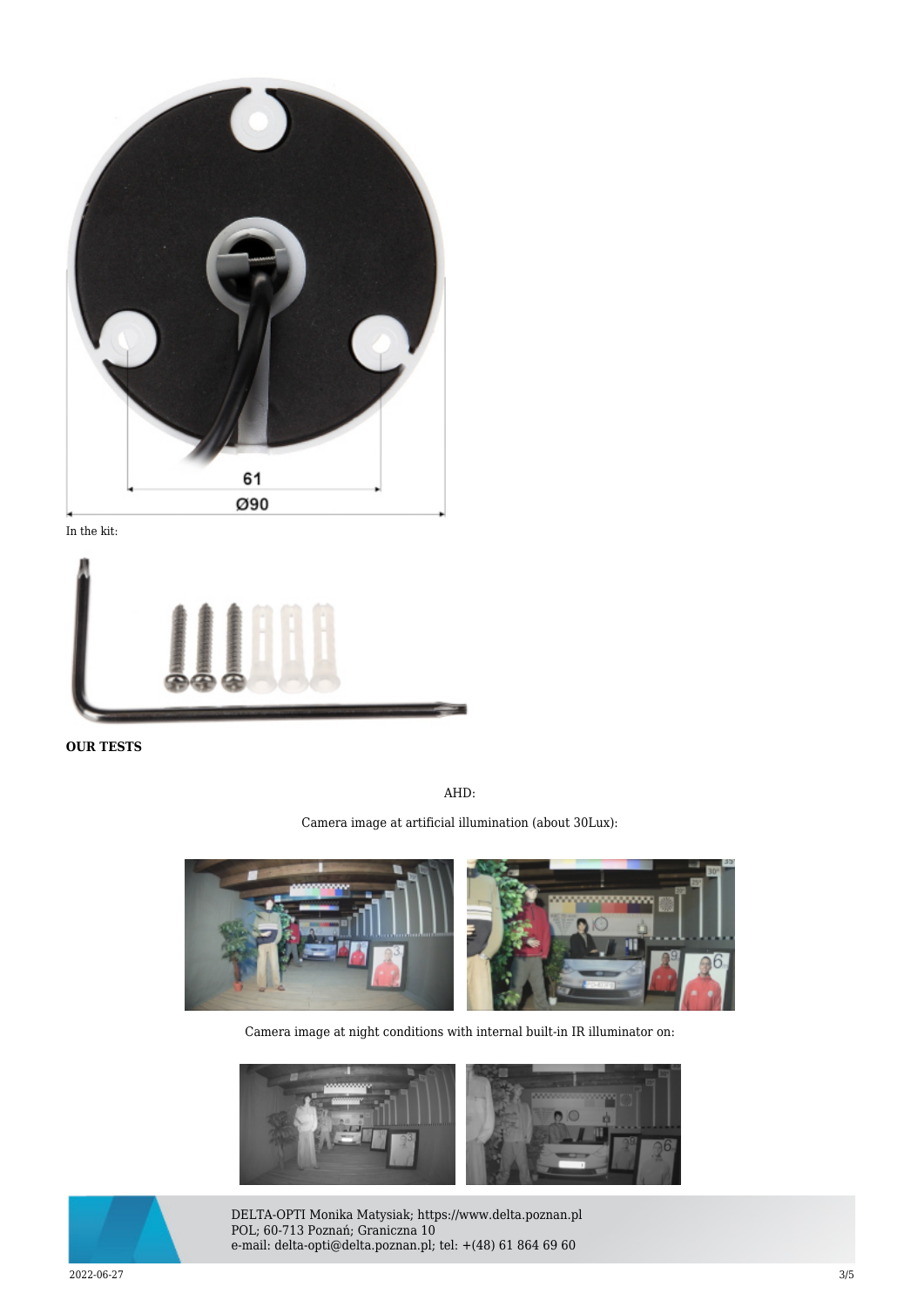

In the kit:



**OUR TESTS**

AHD:

Camera image at artificial illumination (about 30Lux):



Camera image at night conditions with internal built-in IR illuminator on:





DELTA-OPTI Monika Matysiak; https://www.delta.poznan.pl POL; 60-713 Poznań; Graniczna 10 e-mail: delta-opti@delta.poznan.pl; tel: +(48) 61 864 69 60

2022-06-27 3/5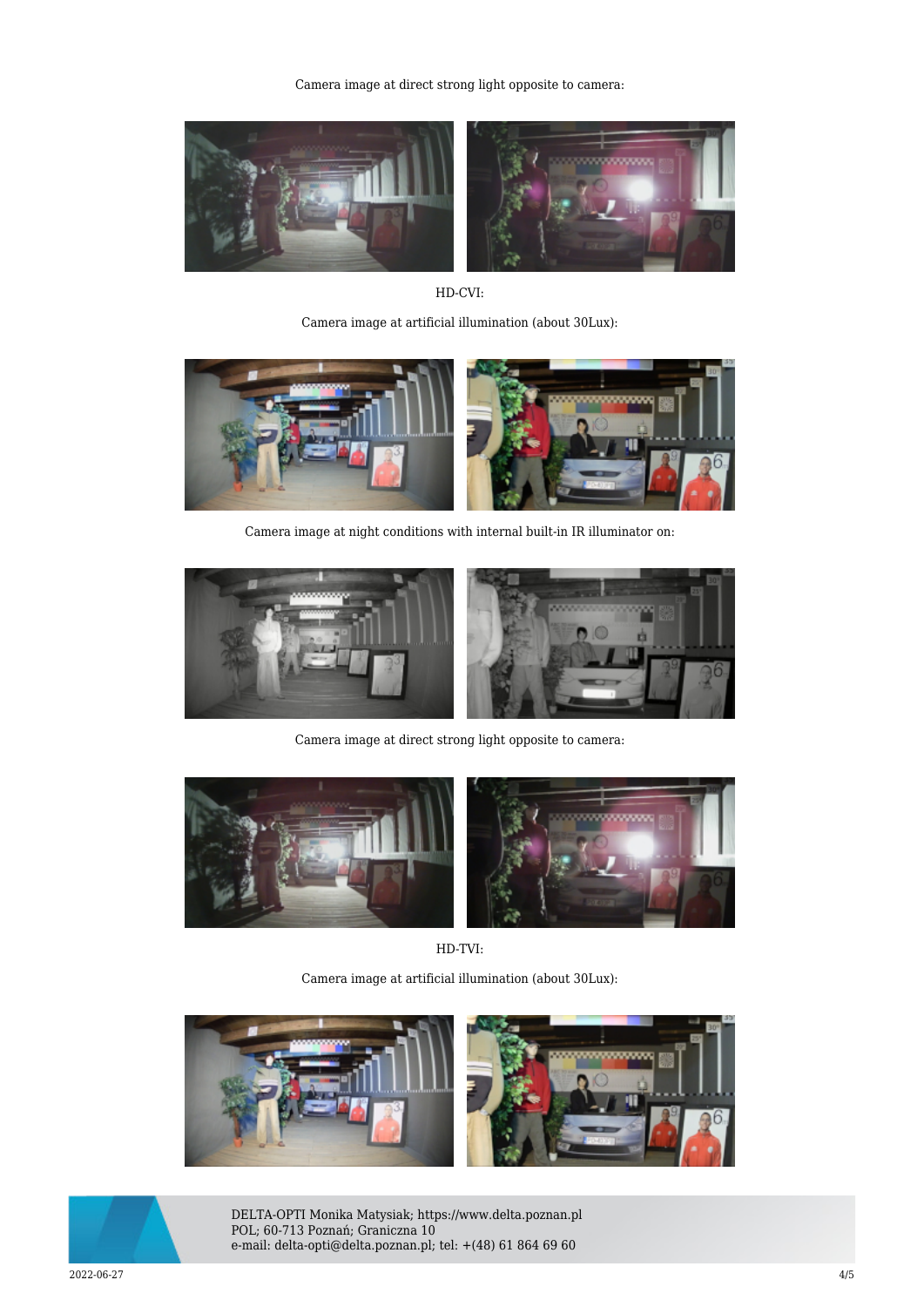Camera image at direct strong light opposite to camera:



HD-CVI:

Camera image at artificial illumination (about 30Lux):



Camera image at night conditions with internal built-in IR illuminator on:



Camera image at direct strong light opposite to camera:



HD-TVI:

Camera image at artificial illumination (about 30Lux):





DELTA-OPTI Monika Matysiak; https://www.delta.poznan.pl POL; 60-713 Poznań; Graniczna 10 e-mail: delta-opti@delta.poznan.pl; tel: +(48) 61 864 69 60

2022-06-27 4/5